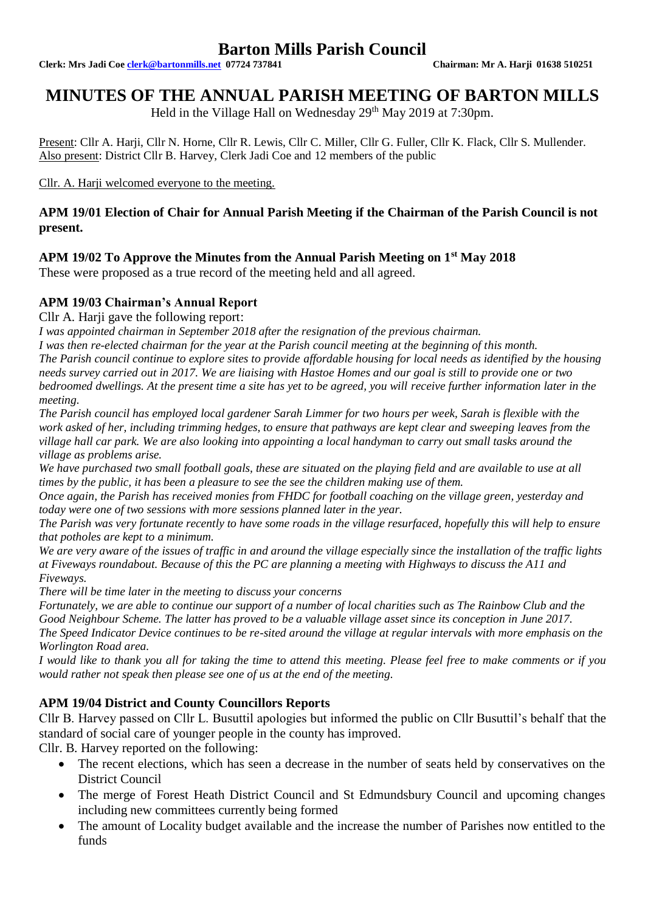**Clerk: Mrs Jadi Coe [clerk@bartonmills.net](mailto:clerk@bartonmills.net) 07724 737841 Chairman: Mr A. Harji 01638 510251**

# **MINUTES OF THE ANNUAL PARISH MEETING OF BARTON MILLS**

Held in the Village Hall on Wednesday 29<sup>th</sup> May 2019 at 7:30pm.

Present: Cllr A. Harji, Cllr N. Horne, Cllr R. Lewis, Cllr C. Miller, Cllr G. Fuller, Cllr K. Flack, Cllr S. Mullender. Also present: District Cllr B. Harvey, Clerk Jadi Coe and 12 members of the public

Cllr. A. Harji welcomed everyone to the meeting.

## **APM 19/01 Election of Chair for Annual Parish Meeting if the Chairman of the Parish Council is not present.**

## **APM 19/02 To Approve the Minutes from the Annual Parish Meeting on 1st May 2018**

These were proposed as a true record of the meeting held and all agreed.

## **APM 19/03 Chairman's Annual Report**

Cllr A. Harji gave the following report:

*I was appointed chairman in September 2018 after the resignation of the previous chairman.* 

*I was then re-elected chairman for the year at the Parish council meeting at the beginning of this month. The Parish council continue to explore sites to provide affordable housing for local needs as identified by the housing needs survey carried out in 2017. We are liaising with Hastoe Homes and our goal is still to provide one or two bedroomed dwellings. At the present time a site has yet to be agreed, you will receive further information later in the meeting.*

*The Parish council has employed local gardener Sarah Limmer for two hours per week, Sarah is flexible with the work asked of her, including trimming hedges, to ensure that pathways are kept clear and sweeping leaves from the village hall car park. We are also looking into appointing a local handyman to carry out small tasks around the village as problems arise.*

We have purchased two small football goals, these are situated on the playing field and are available to use at all *times by the public, it has been a pleasure to see the see the children making use of them.*

*Once again, the Parish has received monies from FHDC for football coaching on the village green, yesterday and today were one of two sessions with more sessions planned later in the year.*

*The Parish was very fortunate recently to have some roads in the village resurfaced, hopefully this will help to ensure that potholes are kept to a minimum.*

*We are very aware of the issues of traffic in and around the village especially since the installation of the traffic lights at Fiveways roundabout. Because of this the PC are planning a meeting with Highways to discuss the A11 and Fiveways.* 

*There will be time later in the meeting to discuss your concerns*

*Fortunately, we are able to continue our support of a number of local charities such as The Rainbow Club and the Good Neighbour Scheme. The latter has proved to be a valuable village asset since its conception in June 2017. The Speed Indicator Device continues to be re-sited around the village at regular intervals with more emphasis on the Worlington Road area.*

*I would like to thank you all for taking the time to attend this meeting. Please feel free to make comments or if you would rather not speak then please see one of us at the end of the meeting.*

# **APM 19/04 District and County Councillors Reports**

Cllr B. Harvey passed on Cllr L. Busuttil apologies but informed the public on Cllr Busuttil's behalf that the standard of social care of younger people in the county has improved.

Cllr. B. Harvey reported on the following:

- The recent elections, which has seen a decrease in the number of seats held by conservatives on the District Council
- The merge of Forest Heath District Council and St Edmundsbury Council and upcoming changes including new committees currently being formed
- The amount of Locality budget available and the increase the number of Parishes now entitled to the funds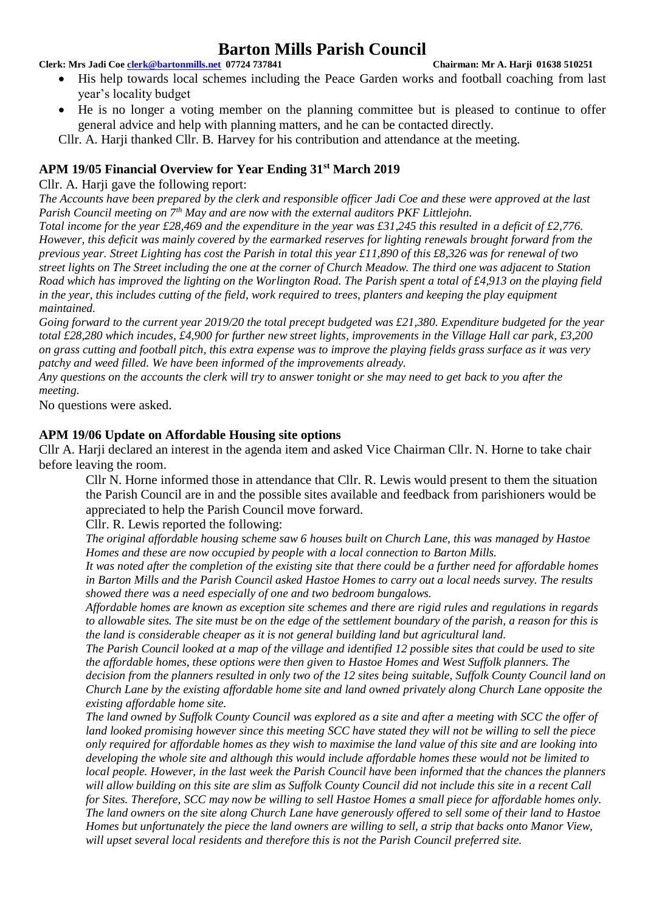**Clerk: Mrs Jadi Coe [clerk@bartonmills.net](mailto:clerk@bartonmills.net) 07724 737841 Chairman: Mr A. Harji 01638 510251**

- His help towards local schemes including the Peace Garden works and football coaching from last year's locality budget
- He is no longer a voting member on the planning committee but is pleased to continue to offer general advice and help with planning matters, and he can be contacted directly.

Cllr. A. Harji thanked Cllr. B. Harvey for his contribution and attendance at the meeting.

## **APM 19/05 Financial Overview for Year Ending 31st March 2019**

Cllr. A. Harii gave the following report:

*The Accounts have been prepared by the clerk and responsible officer Jadi Coe and these were approved at the last Parish Council meeting on 7th May and are now with the external auditors PKF Littlejohn.*

*Total income for the year £28,469 and the expenditure in the year was £31,245 this resulted in a deficit of £2,776. However, this deficit was mainly covered by the earmarked reserves for lighting renewals brought forward from the previous year. Street Lighting has cost the Parish in total this year £11,890 of this £8,326 was for renewal of two street lights on The Street including the one at the corner of Church Meadow. The third one was adjacent to Station Road which has improved the lighting on the Worlington Road. The Parish spent a total of £4,913 on the playing field in the year, this includes cutting of the field, work required to trees, planters and keeping the play equipment maintained.*

*Going forward to the current year 2019/20 the total precept budgeted was £21,380. Expenditure budgeted for the year total £28,280 which incudes, £4,900 for further new street lights, improvements in the Village Hall car park, £3,200 on grass cutting and football pitch, this extra expense was to improve the playing fields grass surface as it was very patchy and weed filled. We have been informed of the improvements already.* 

*Any questions on the accounts the clerk will try to answer tonight or she may need to get back to you after the meeting.*

No questions were asked.

### **APM 19/06 Update on Affordable Housing site options**

Cllr A. Harji declared an interest in the agenda item and asked Vice Chairman Cllr. N. Horne to take chair before leaving the room.

Cllr N. Horne informed those in attendance that Cllr. R. Lewis would present to them the situation the Parish Council are in and the possible sites available and feedback from parishioners would be appreciated to help the Parish Council move forward.

Cllr. R. Lewis reported the following:

*The original affordable housing scheme saw 6 houses built on Church Lane, this was managed by Hastoe Homes and these are now occupied by people with a local connection to Barton Mills.* 

*It was noted after the completion of the existing site that there could be a further need for affordable homes in Barton Mills and the Parish Council asked Hastoe Homes to carry out a local needs survey. The results showed there was a need especially of one and two bedroom bungalows.*

*Affordable homes are known as exception site schemes and there are rigid rules and regulations in regards to allowable sites. The site must be on the edge of the settlement boundary of the parish, a reason for this is the land is considerable cheaper as it is not general building land but agricultural land.*

*The Parish Council looked at a map of the village and identified 12 possible sites that could be used to site the affordable homes, these options were then given to Hastoe Homes and West Suffolk planners. The decision from the planners resulted in only two of the 12 sites being suitable, Suffolk County Council land on* 

*Church Lane by the existing affordable home site and land owned privately along Church Lane opposite the existing affordable home site.*

*The land owned by Suffolk County Council was explored as a site and after a meeting with SCC the offer of land looked promising however since this meeting SCC have stated they will not be willing to sell the piece only required for affordable homes as they wish to maximise the land value of this site and are looking into developing the whole site and although this would include affordable homes these would not be limited to local people. However, in the last week the Parish Council have been informed that the chances the planners will allow building on this site are slim as Suffolk County Council did not include this site in a recent Call for Sites. Therefore, SCC may now be willing to sell Hastoe Homes a small piece for affordable homes only. The land owners on the site along Church Lane have generously offered to sell some of their land to Hastoe Homes but unfortunately the piece the land owners are willing to sell, a strip that backs onto Manor View, will upset several local residents and therefore this is not the Parish Council preferred site.*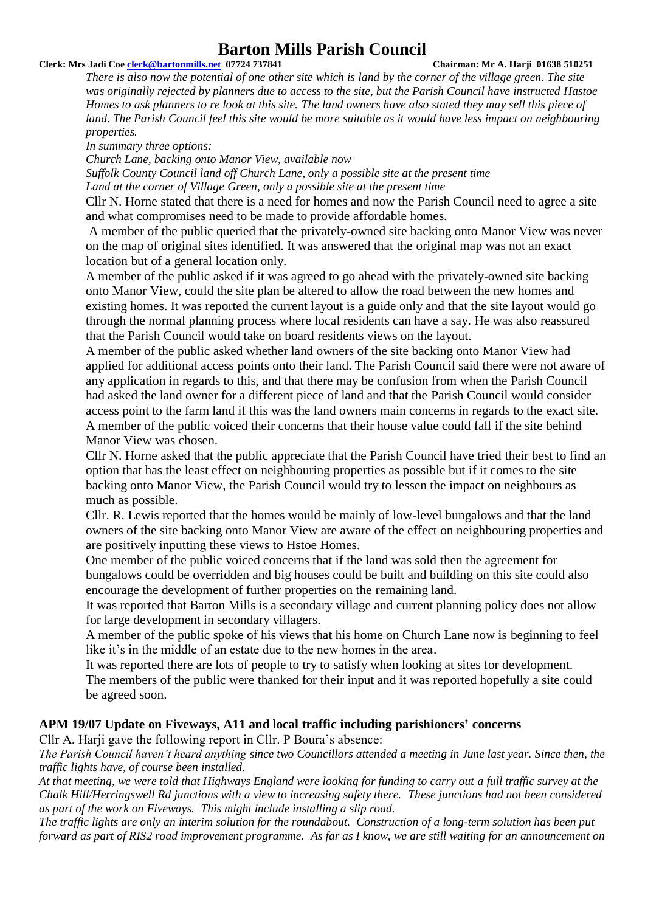#### **Clerk: Mrs Jadi Coe [clerk@bartonmills.net](mailto:clerk@bartonmills.net) 07724 737841 Chairman: Mr A. Harji 01638 510251**

*There is also now the potential of one other site which is land by the corner of the village green. The site was originally rejected by planners due to access to the site, but the Parish Council have instructed Hastoe Homes to ask planners to re look at this site. The land owners have also stated they may sell this piece of*  land. The Parish Council feel this site would be more suitable as it would have less impact on neighbouring *properties.*

*In summary three options:*

*Church Lane, backing onto Manor View, available now*

*Suffolk County Council land off Church Lane, only a possible site at the present time Land at the corner of Village Green, only a possible site at the present time*

Cllr N. Horne stated that there is a need for homes and now the Parish Council need to agree a site and what compromises need to be made to provide affordable homes.

A member of the public queried that the privately-owned site backing onto Manor View was never on the map of original sites identified. It was answered that the original map was not an exact location but of a general location only.

A member of the public asked if it was agreed to go ahead with the privately-owned site backing onto Manor View, could the site plan be altered to allow the road between the new homes and existing homes. It was reported the current layout is a guide only and that the site layout would go through the normal planning process where local residents can have a say. He was also reassured that the Parish Council would take on board residents views on the layout.

A member of the public asked whether land owners of the site backing onto Manor View had applied for additional access points onto their land. The Parish Council said there were not aware of any application in regards to this, and that there may be confusion from when the Parish Council had asked the land owner for a different piece of land and that the Parish Council would consider access point to the farm land if this was the land owners main concerns in regards to the exact site. A member of the public voiced their concerns that their house value could fall if the site behind Manor View was chosen.

Cllr N. Horne asked that the public appreciate that the Parish Council have tried their best to find an option that has the least effect on neighbouring properties as possible but if it comes to the site backing onto Manor View, the Parish Council would try to lessen the impact on neighbours as much as possible.

Cllr. R. Lewis reported that the homes would be mainly of low-level bungalows and that the land owners of the site backing onto Manor View are aware of the effect on neighbouring properties and are positively inputting these views to Hstoe Homes.

One member of the public voiced concerns that if the land was sold then the agreement for bungalows could be overridden and big houses could be built and building on this site could also encourage the development of further properties on the remaining land.

It was reported that Barton Mills is a secondary village and current planning policy does not allow for large development in secondary villagers.

A member of the public spoke of his views that his home on Church Lane now is beginning to feel like it's in the middle of an estate due to the new homes in the area.

It was reported there are lots of people to try to satisfy when looking at sites for development. The members of the public were thanked for their input and it was reported hopefully a site could be agreed soon.

#### **APM 19/07 Update on Fiveways, A11 and local traffic including parishioners' concerns**

Cllr A. Harji gave the following report in Cllr. P Boura's absence:

*The Parish Council haven't heard anything since two Councillors attended a meeting in June last year. Since then, the traffic lights have, of course been installed.*

*At that meeting, we were told that Highways England were looking for funding to carry out a full traffic survey at the Chalk Hill/Herringswell Rd junctions with a view to increasing safety there. These junctions had not been considered as part of the work on Fiveways. This might include installing a slip road.*

*The traffic lights are only an interim solution for the roundabout. Construction of a long-term solution has been put forward as part of RIS2 road improvement programme. As far as I know, we are still waiting for an announcement on*